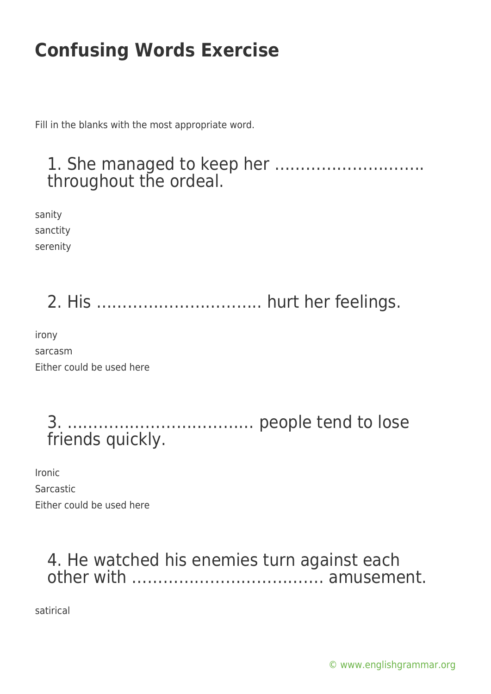Fill in the blanks with the most appropriate word.

#### 1. She managed to keep her ……………………….. throughout the ordeal.

sanity sanctity serenity

# 2. His ………………………….. hurt her feelings.

irony sarcasm Either could be used here

> 3. ……………………………… people tend to lose friends quickly.

Ironic Sarcastic Either could be used here

### 4. He watched his enemies turn against each other with ………………………………. amusement.

satirical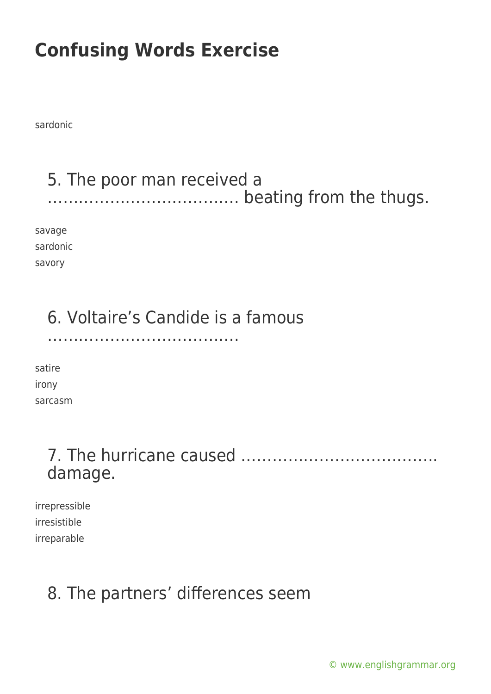sardonic

## 5. The poor man received a ………………………………. beating from the thugs.

savage sardonic savory

## 6. Voltaire's Candide is a famous

……………………………….

satire irony sarcasm

## 7. The hurricane caused ……………………………….. damage.

irrepressible irresistible irreparable

## 8. The partners' differences seem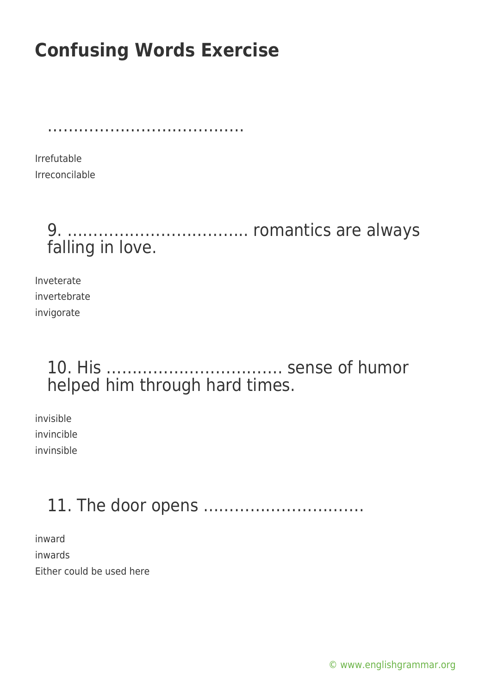………………………………………………

Irrefutable Irreconcilable

## 9. …………………………….. romantics are always falling in love.

Inveterate invertebrate invigorate

## 10. His ……………………………. sense of humor helped him through hard times.

invisible invincible invinsible

## 11. The door opens ………………………….

inward inwards Either could be used here

[© www.englishgrammar.org](https://www.englishgrammar.org/)